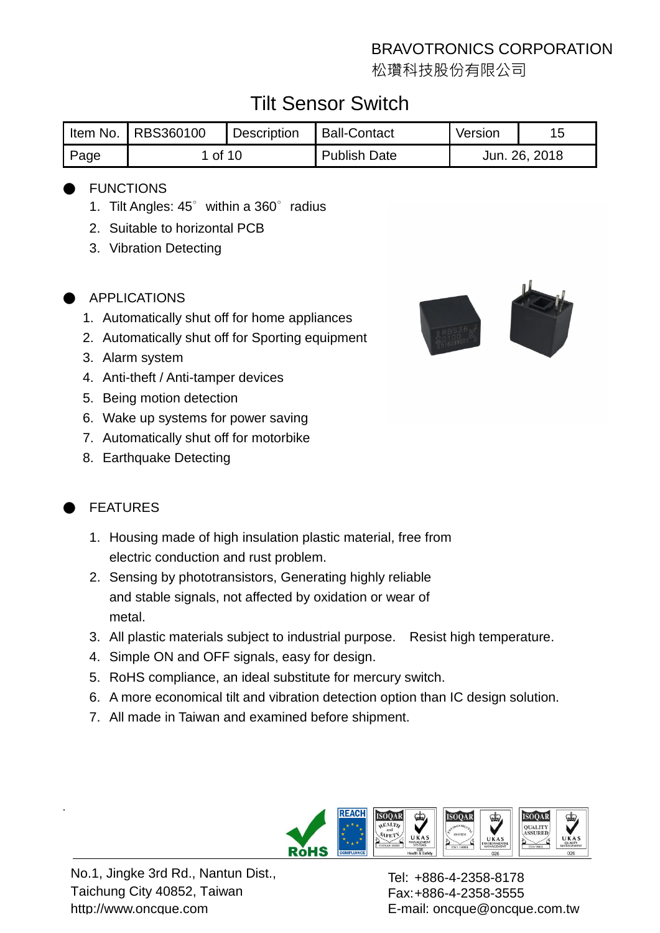松瓚科技股份有限公司

# Tilt Sensor Switch

|      | Item No.   RBS360100 | Description | Ball-Contact        | Version       |  |
|------|----------------------|-------------|---------------------|---------------|--|
| Page | 1 of 10              |             | <b>Publish Date</b> | Jun. 26, 2018 |  |

### **FUNCTIONS**

- 1. Tilt Angles: 45° within a 360° radius
- 2. Suitable to horizontal PCB
- 3. Vibration Detecting

#### APPLICATIONS

- 1. Automatically shut off for home appliances
- 2. Automatically shut off for Sporting equipment
- 3. Alarm system
- 4. Anti-theft / Anti-tamper devices
- 5. Being motion detection
- 6. Wake up systems for power saving
- 7. Automatically shut off for motorbike
- 8. Earthquake Detecting

## **FFATURES**

.

- 1. Housing made of high insulation plastic material, free from electric conduction and rust problem.
- 2. Sensing by phototransistors, Generating highly reliable and stable signals, not affected by oxidation or wear of metal.
- 3. All plastic materials subject to industrial purpose. Resist high temperature.
- 4. Simple ON and OFF signals, easy for design.
- 5. RoHS compliance, an ideal substitute for mercury switch.
- 6. A more economical tilt and vibration detection option than IC design solution.
- 7. All made in Taiwan and examined before shipment.



No.1, Jingke 3rd Rd., Nantun Dist., Taichung City 40852, Taiwan http://www.oncque.com

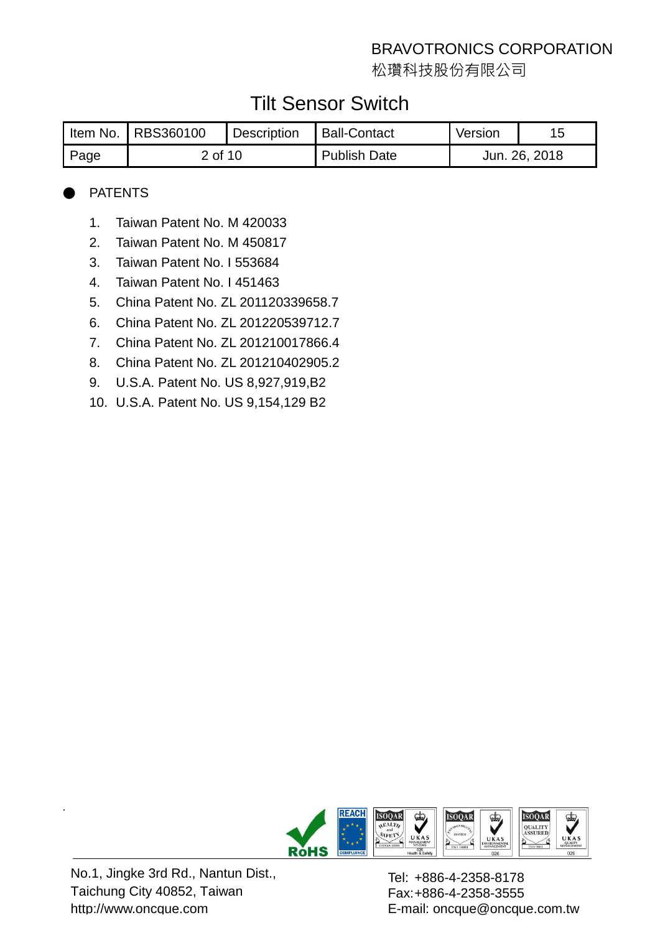松瓚科技股份有限公司

# Tilt Sensor Switch

|      | I Item No.   RBS360100 | <b>Description</b> | Ball-Contact        | Version | 15            |
|------|------------------------|--------------------|---------------------|---------|---------------|
| Page | 2 of 10                |                    | <b>Publish Date</b> |         | Jun. 26, 2018 |

### **PATENTS**

- 1. Taiwan Patent No. M 420033
- 2. Taiwan Patent No. M 450817
- 3. Taiwan Patent No. I 553684
- 4. Taiwan Patent No. I 451463
- 5. China Patent No. ZL 201120339658.7
- 6. China Patent No. ZL 201220539712.7
- 7. China Patent No. ZL 201210017866.4
- 8. China Patent No. ZL 201210402905.2
- 9. U.S.A. Patent No. US 8,927,919,B2
- 10. U.S.A. Patent No. US 9,154,129 B2



No.1, Jingke 3rd Rd., Nantun Dist., Taichung City 40852, Taiwan http://www.oncque.com

.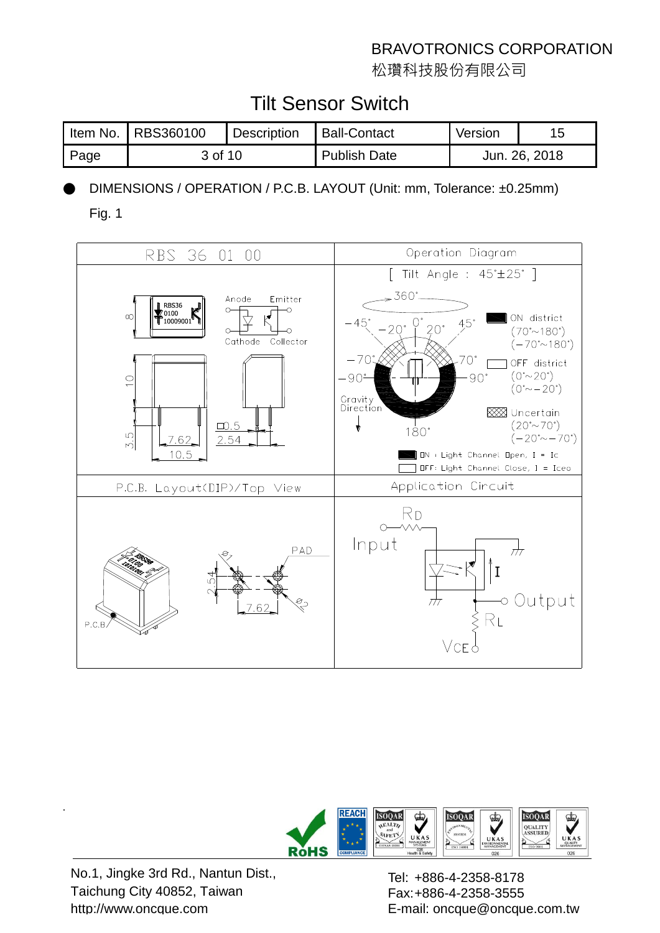松瓚科技股份有限公司

# Tilt Sensor Switch

|      | Item No.   RBS360100 | <b>Description</b> | <b>Ball-Contact</b> | Version       |  |
|------|----------------------|--------------------|---------------------|---------------|--|
| Page | 3 of 10              |                    | <b>Publish Date</b> | Jun. 26, 2018 |  |

DIMENSIONS / OPERATION / P.C.B. LAYOUT (Unit: mm, Tolerance: ±0.25mm)

Fig. 1





No.1, Jingke 3rd Rd., Nantun Dist., Taichung City 40852, Taiwan http://www.oncque.com

.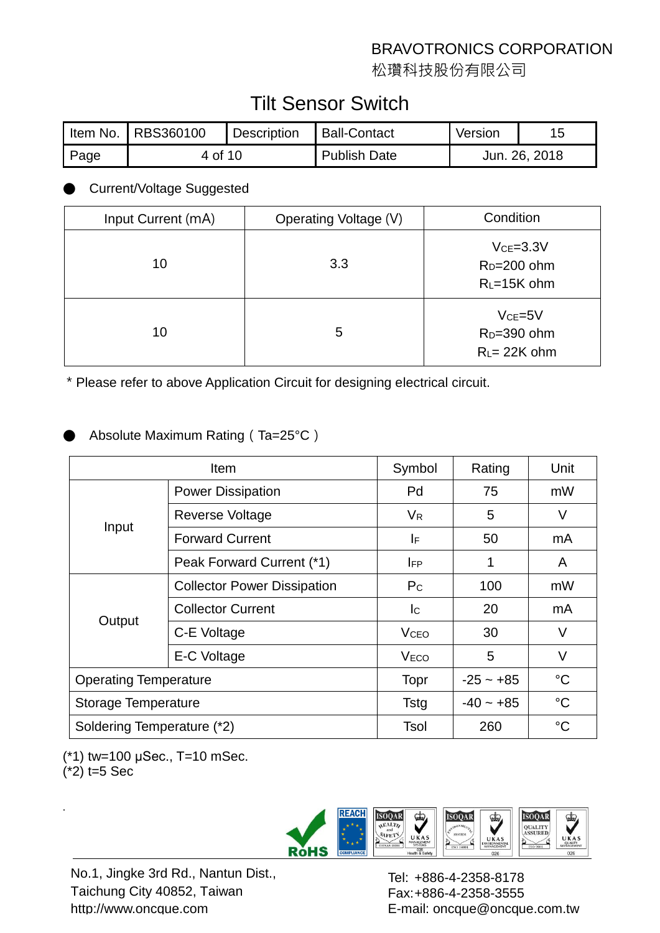松瓚科技股份有限公司

# Tilt Sensor Switch

|      | Item No.   RBS360100 | <b>Description</b> | <b>Ball-Contact</b> | Version       |  |
|------|----------------------|--------------------|---------------------|---------------|--|
| Page | 4 of 10              |                    | <b>Publish Date</b> | Jun. 26, 2018 |  |

### **Current/Voltage Suggested**

| Input Current (mA) | Operating Voltage (V) | Condition                                              |
|--------------------|-----------------------|--------------------------------------------------------|
| 10                 | 3.3                   | $Vce = 3.3V$<br>$R_D=200$ ohm<br>$R_{L}$ =15K ohm      |
| 10                 | 5                     | $VCE=5V$<br>R <sub>D</sub> =390 ohm<br>$R_l = 22K$ ohm |

\*Please refer to above Application Circuit for designing electrical circuit.

## Absolute Maximum Rating (Ta=25°C)

|                              | <b>Item</b>                        | Symbol                  | Rating          | Unit            |
|------------------------------|------------------------------------|-------------------------|-----------------|-----------------|
|                              | <b>Power Dissipation</b>           | Pd                      | 75              | mW              |
|                              | Reverse Voltage                    | $V_{R}$                 | 5               | V               |
| Input                        | <b>Forward Current</b>             | IF                      | 50              | mA              |
|                              | Peak Forward Current (*1)          | <b>IFP</b>              | 1               | A               |
|                              | <b>Collector Power Dissipation</b> | $P_{\rm C}$             | 100             | mW              |
|                              | <b>Collector Current</b>           | lc.                     | 20              | mA              |
| Output                       | C-E Voltage                        | <b>V</b> <sub>CEO</sub> | 30              | V               |
|                              | E-C Voltage                        | <b>VECO</b>             | 5               | V               |
| <b>Operating Temperature</b> | <b>Topr</b>                        | $-25 - +85$             | $\rm ^{\circ}C$ |                 |
| <b>Storage Temperature</b>   | <b>Tstg</b>                        | $-40 - +85$             | $^{\circ}C$     |                 |
| Soldering Temperature (*2)   |                                    | Tsol                    | 260             | $\rm ^{\circ}C$ |

(\*1) tw=100 μSec., T=10 mSec.

 $(*2)$  t=5 Sec

.



No.1, Jingke 3rd Rd., Nantun Dist., Taichung City 40852, Taiwan http://www.oncque.com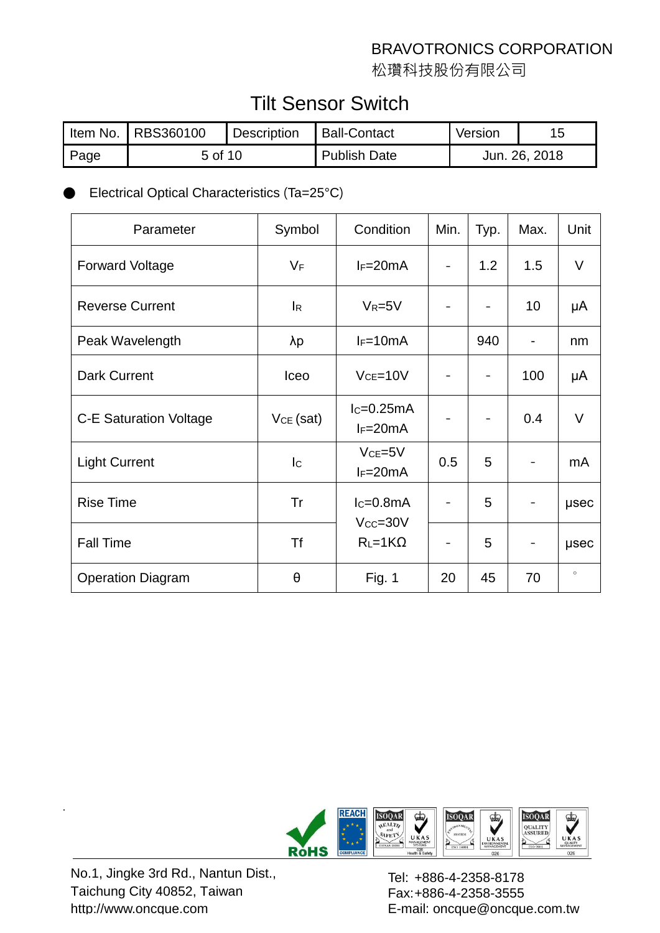松瓚科技股份有限公司

# Tilt Sensor Switch

| Item No. | RBS360100 | <b>Description</b> | <b>Ball-Contact</b> | Version       |  |
|----------|-----------|--------------------|---------------------|---------------|--|
| Page     | 5 of 10   |                    | <b>Publish Date</b> | Jun. 26, 2018 |  |

## Electrical Optical Characteristics (Ta=25°C)

| Parameter                     | Symbol                    | Condition                    | Min. | Typ. | Max.                     | Unit        |
|-------------------------------|---------------------------|------------------------------|------|------|--------------------------|-------------|
| <b>Forward Voltage</b>        | $V_F$                     | $I_F=20mA$                   |      | 1.2  | 1.5                      | V           |
| <b>Reverse Current</b>        | $\mathsf{I}_{\mathsf{R}}$ | $V_R = 5V$                   |      |      | 10                       | μA          |
| Peak Wavelength               | $\lambda p$               | $I_F=10mA$                   |      | 940  | $\overline{\phantom{a}}$ | nm          |
| <b>Dark Current</b>           | Iceo                      | $Vce=10V$                    |      |      | 100                      | μA          |
| <b>C-E Saturation Voltage</b> | $VCE$ (sat)               | $lc=0.25mA$<br>$I_F=20mA$    |      |      | 0.4                      | $\vee$      |
| <b>Light Current</b>          | lc.                       | $VCE=5V$<br>$I_F=20mA$       | 0.5  | 5    |                          | mA          |
| <b>Rise Time</b>              | Tr                        | $lc=0.8mA$<br>$V_{CC} = 30V$ |      | 5    |                          | usec        |
| <b>Fall Time</b>              | <b>Tf</b>                 | $R_L = 1K\Omega$             |      | 5    |                          | <b>µsec</b> |
| <b>Operation Diagram</b>      | θ                         | <b>Fig. 1</b>                | 20   | 45   | 70                       | $\circ$     |



No.1, Jingke 3rd Rd., Nantun Dist., Taichung City 40852, Taiwan http://www.oncque.com

.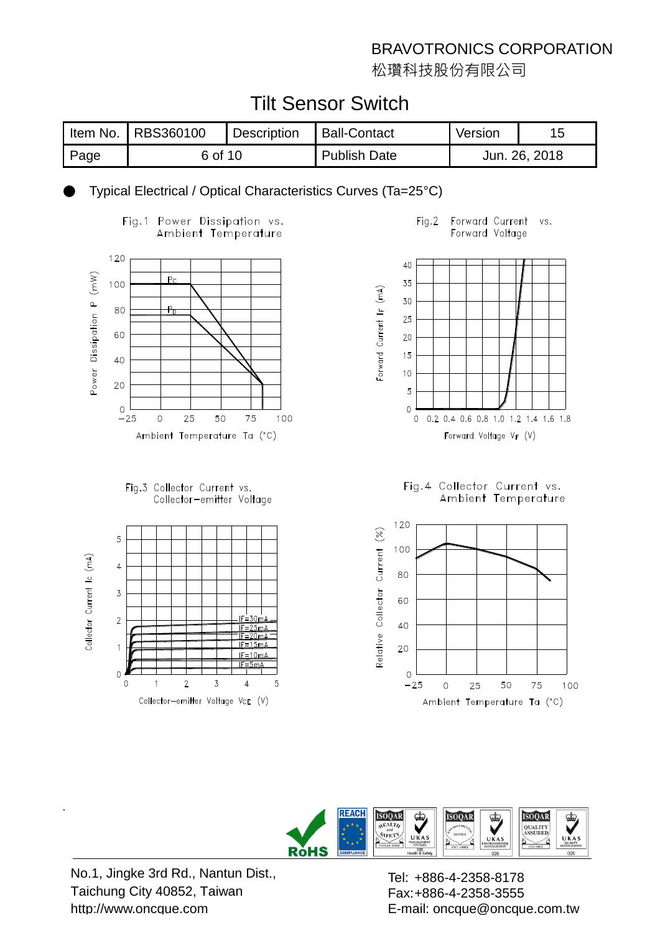松瓚科技股份有限公司

# Tilt Sensor Switch

|        | I Item No.   RBS360100 | <b>Description</b> | Ball-Contact        | Version       |  |
|--------|------------------------|--------------------|---------------------|---------------|--|
| I Page | 6 of 10                |                    | <b>Publish Date</b> | Jun. 26, 2018 |  |

Typical Electrical / Optical Characteristics Curves (Ta=25°C)







#### $Fig.2$ Forward Current VS. Forward Voltage



Fig.4 Collector Current vs. Ambient Temperature





No.1, Jingke 3rd Rd., Nantun Dist., Taichung City 40852, Taiwan http://www.oncque.com

.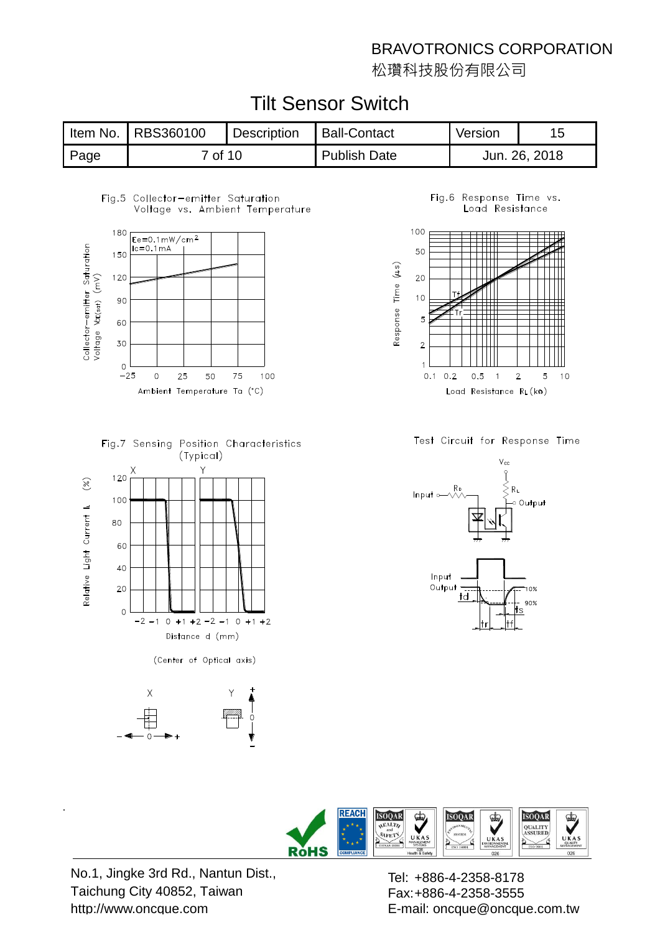松瓚科技股份有限公司

|      | Item No.   RBS360100 | Description | <b>Ball-Contact</b> | Version       |  |
|------|----------------------|-------------|---------------------|---------------|--|
| Page | 7 of 10              |             | <b>Publish Date</b> | Jun. 26, 2018 |  |

# Tilt Sensor Switch

#### Fig.5 Collector-emitter Saturation Voltage vs. Ambient Temperature



Fig.7 Sensing Position Characteristics (Typical)



(Center of Optical axis)



Fig.6 Response Time vs. Load Resistance



Test Circuit for Response Time





No.1, Jingke 3rd Rd., Nantun Dist., Taichung City 40852, Taiwan http://www.oncque.com

.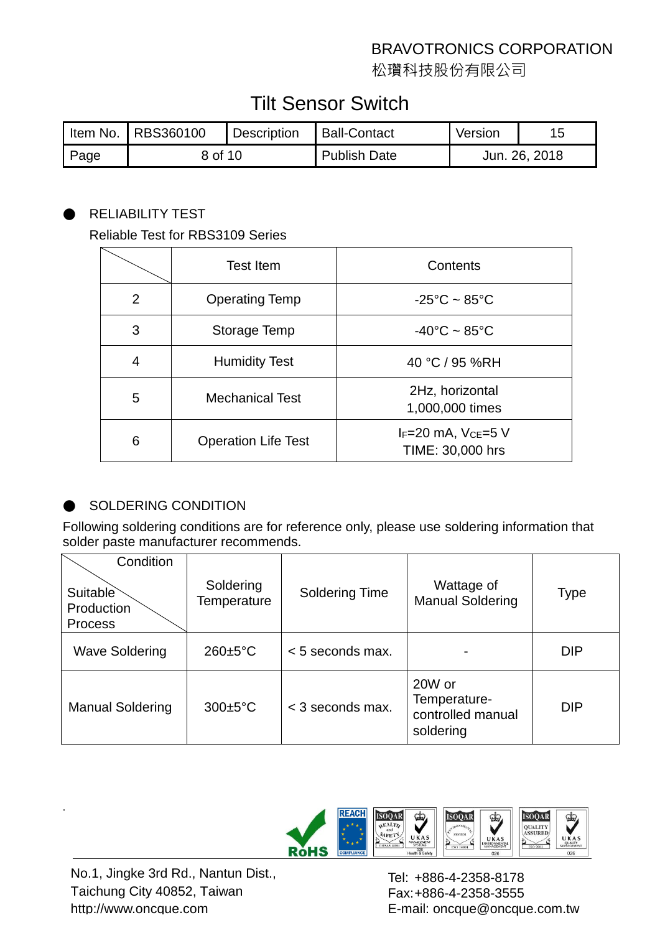松瓚科技股份有限公司

# Tilt Sensor Switch

|      | I Item No.   RBS360100 | Description | <b>Ball-Contact</b> | Version |               |
|------|------------------------|-------------|---------------------|---------|---------------|
| Page | 8 of 10                |             | Publish Date        |         | Jun. 26, 2018 |

#### ● RELIABILITY TEST

#### Reliable Test for RBS3109 Series

|   | <b>Test Item</b>           | Contents                              |
|---|----------------------------|---------------------------------------|
| 2 | <b>Operating Temp</b>      | $-25^{\circ}$ C ~ 85 $^{\circ}$ C     |
| 3 | Storage Temp               | $-40^{\circ}$ C ~ 85 $^{\circ}$ C     |
| 4 | <b>Humidity Test</b>       | 40 °C / 95 %RH                        |
| 5 | <b>Mechanical Test</b>     | 2Hz, horizontal<br>1,000,000 times    |
| 6 | <b>Operation Life Test</b> | IF=20 mA, VcE=5 V<br>TIME: 30,000 hrs |

#### SOLDERING CONDITION

Following soldering conditions are for reference only, please use soldering information that solder paste manufacturer recommends.

| Condition<br>Suitable<br>Production<br><b>Process</b> | Soldering<br>Temperature | <b>Soldering Time</b> | Wattage of<br><b>Manual Soldering</b>                    | Type       |
|-------------------------------------------------------|--------------------------|-----------------------|----------------------------------------------------------|------------|
| <b>Wave Soldering</b>                                 | $260 \pm 5^{\circ}$ C    | $< 5$ seconds max.    |                                                          | <b>DIP</b> |
| <b>Manual Soldering</b>                               | $300 \pm 5^{\circ}$ C    | $<$ 3 seconds max.    | 20W or<br>Temperature-<br>controlled manual<br>soldering | <b>DIP</b> |



No.1, Jingke 3rd Rd., Nantun Dist., Taichung City 40852, Taiwan http://www.oncque.com

.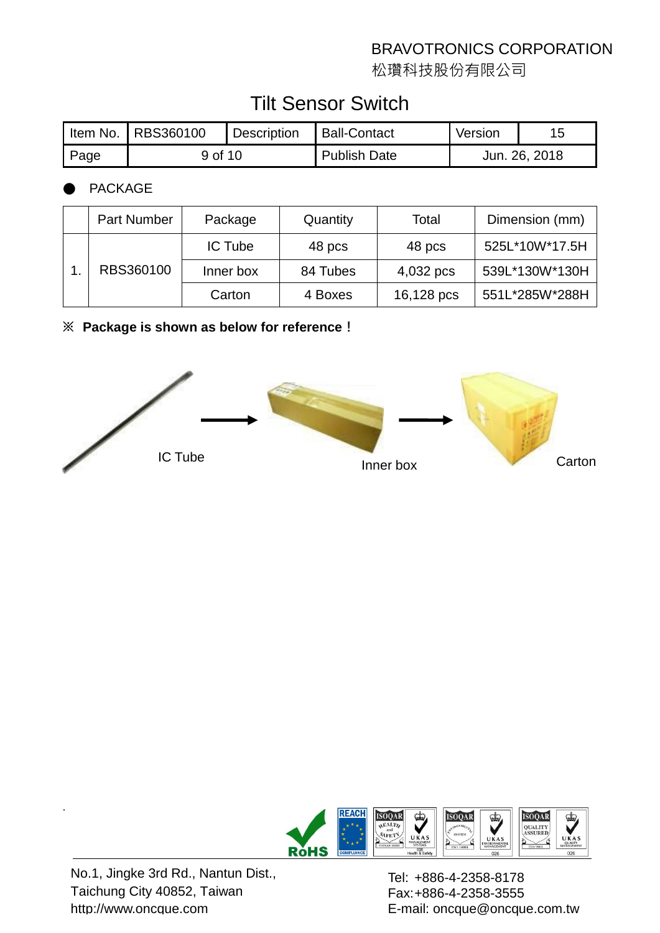松瓚科技股份有限公司

# Tilt Sensor Switch

|      | Item No.   RBS360100 | <b>Description</b> | Ball-Contact        | Version       |  |
|------|----------------------|--------------------|---------------------|---------------|--|
| Page | 9 of 10              |                    | <b>Publish Date</b> | Jun. 26, 2018 |  |

## **PACKAGE**

|           | <b>Part Number</b> | Package   | Quantity | Total          | Dimension (mm) |
|-----------|--------------------|-----------|----------|----------------|----------------|
| RBS360100 | <b>IC Tube</b>     | 48 pcs    | 48 pcs   | 525L*10W*17.5H |                |
|           |                    | Inner box | 84 Tubes | 4,032 pcs      | 539L*130W*130H |
|           |                    | Carton    | 4 Boxes  | 16,128 pcs     | 551L*285W*288H |

#### **※ Package is shown as below for reference!**





No.1, Jingke 3rd Rd., Nantun Dist., Taichung City 40852, Taiwan http://www.oncque.com

.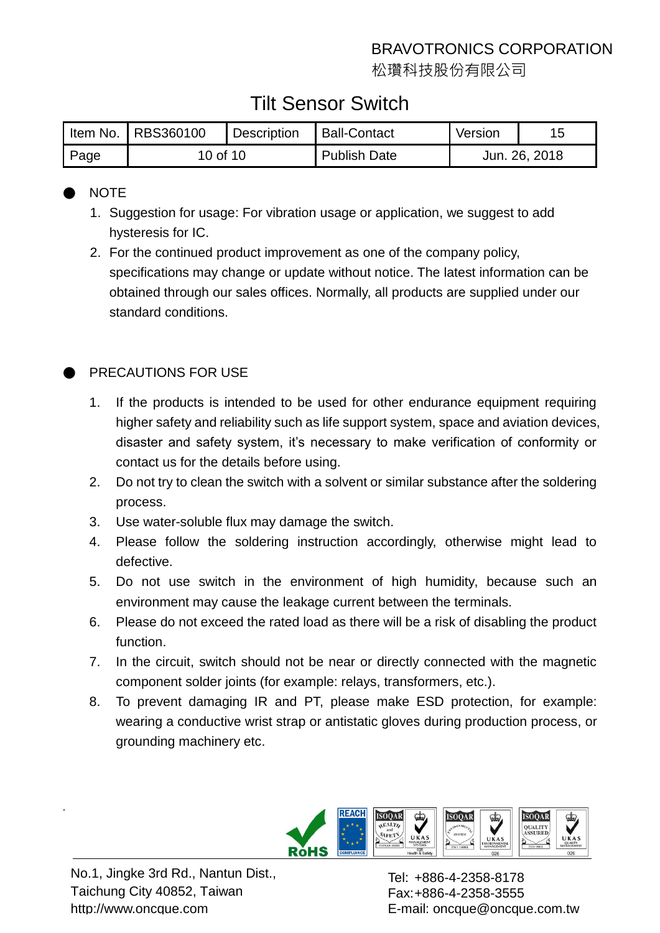松瓚科技股份有限公司

# Tilt Sensor Switch

|      | Item No.   RBS360100 | Description | <b>Ball-Contact</b> | Version       |  |
|------|----------------------|-------------|---------------------|---------------|--|
| Page | 10 of 10             |             | <b>Publish Date</b> | Jun. 26, 2018 |  |

## ● NOTE

- 1. Suggestion for usage: For vibration usage or application, we suggest to add hysteresis for IC.
- 2. For the continued product improvement as one of the company policy, specifications may change or update without notice. The latest information can be obtained through our sales offices. Normally, all products are supplied under our standard conditions.

## PRECAUTIONS FOR USE

- 1. If the products is intended to be used for other endurance equipment requiring higher safety and reliability such as life support system, space and aviation devices, disaster and safety system, it's necessary to make verification of conformity or contact us for the details before using.
- 2. Do not try to clean the switch with a solvent or similar substance after the soldering process.
- 3. Use water-soluble flux may damage the switch.
- 4. Please follow the soldering instruction accordingly, otherwise might lead to defective.
- 5. Do not use switch in the environment of high humidity, because such an environment may cause the leakage current between the terminals.
- 6. Please do not exceed the rated load as there will be a risk of disabling the product function.
- 7. In the circuit, switch should not be near or directly connected with the magnetic component solder joints (for example: relays, transformers, etc.).
- 8. To prevent damaging IR and PT, please make ESD protection, for example: wearing a conductive wrist strap or antistatic gloves during production process, or grounding machinery etc.



No.1, Jingke 3rd Rd., Nantun Dist., Taichung City 40852, Taiwan http://www.oncque.com

.